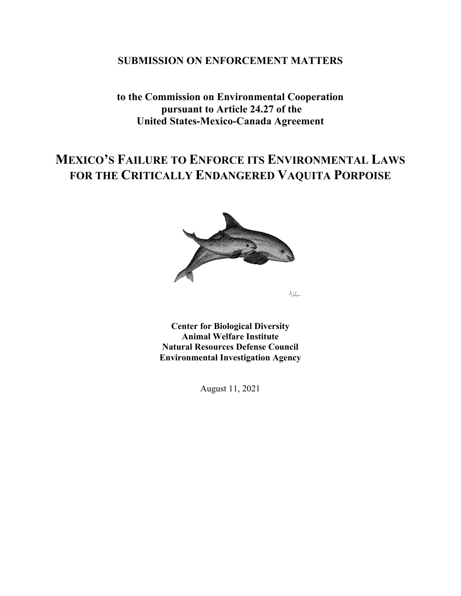## **SUBMISSION ON ENFORCEMENT MATTERS**

# **to the Commission on Environmental Cooperation pursuant to Article 24.27 of the United States-Mexico-Canada Agreement**

# **MEXICO'S FAILURE TO ENFORCE ITS ENVIRONMENTAL LAWS FOR THE CRITICALLY ENDANGERED VAQUITA PORPOISE**



 $A\int_{\mathbb{R}^{d}}$ 

**Center for Biological Diversity Animal Welfare Institute Natural Resources Defense Council Environmental Investigation Agency** 

August 11, 2021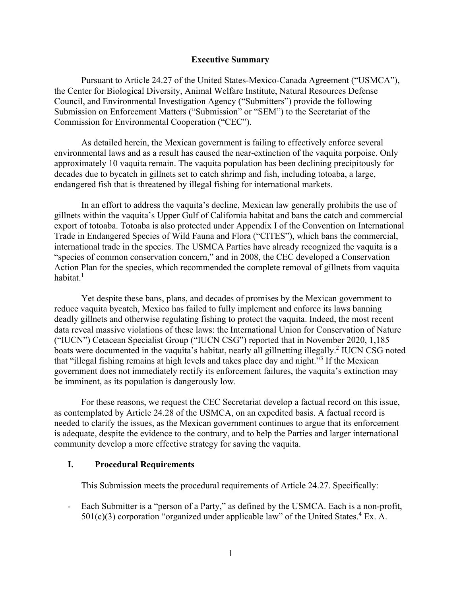#### **Executive Summary**

Pursuant to Article 24.27 of the United States-Mexico-Canada Agreement ("USMCA"), the Center for Biological Diversity, Animal Welfare Institute, Natural Resources Defense Council, and Environmental Investigation Agency ("Submitters") provide the following Submission on Enforcement Matters ("Submission" or "SEM") to the Secretariat of the Commission for Environmental Cooperation ("CEC").

As detailed herein, the Mexican government is failing to effectively enforce several environmental laws and as a result has caused the near-extinction of the vaquita porpoise. Only approximately 10 vaquita remain. The vaquita population has been declining precipitously for decades due to bycatch in gillnets set to catch shrimp and fish, including totoaba, a large, endangered fish that is threatened by illegal fishing for international markets.

In an effort to address the vaquita's decline, Mexican law generally prohibits the use of gillnets within the vaquita's Upper Gulf of California habitat and bans the catch and commercial export of totoaba. Totoaba is also protected under Appendix I of the Convention on International Trade in Endangered Species of Wild Fauna and Flora ("CITES"), which bans the commercial, international trade in the species. The USMCA Parties have already recognized the vaquita is a "species of common conservation concern," and in 2008, the CEC developed a Conservation Action Plan for the species, which recommended the complete removal of gillnets from vaquita habitat. $1$ 

Yet despite these bans, plans, and decades of promises by the Mexican government to reduce vaquita bycatch, Mexico has failed to fully implement and enforce its laws banning deadly gillnets and otherwise regulating fishing to protect the vaquita. Indeed, the most recent data reveal massive violations of these laws: the International Union for Conservation of Nature ("IUCN") Cetacean Specialist Group ("IUCN CSG") reported that in November 2020, 1,185 boats were documented in the vaquita's habitat, nearly all gillnetting illegally.<sup>2</sup> IUCN CSG noted that "illegal fishing remains at high levels and takes place day and night."<sup>3</sup> If the Mexican government does not immediately rectify its enforcement failures, the vaquita's extinction may be imminent, as its population is dangerously low.

For these reasons, we request the CEC Secretariat develop a factual record on this issue, as contemplated by Article 24.28 of the USMCA, on an expedited basis. A factual record is needed to clarify the issues, as the Mexican government continues to argue that its enforcement is adequate, despite the evidence to the contrary, and to help the Parties and larger international community develop a more effective strategy for saving the vaquita.

## **I. Procedural Requirements**

This Submission meets the procedural requirements of Article 24.27. Specifically:

- Each Submitter is a "person of a Party," as defined by the USMCA. Each is a non-profit,  $501(c)(3)$  corporation "organized under applicable law" of the United States.<sup>4</sup> Ex. A.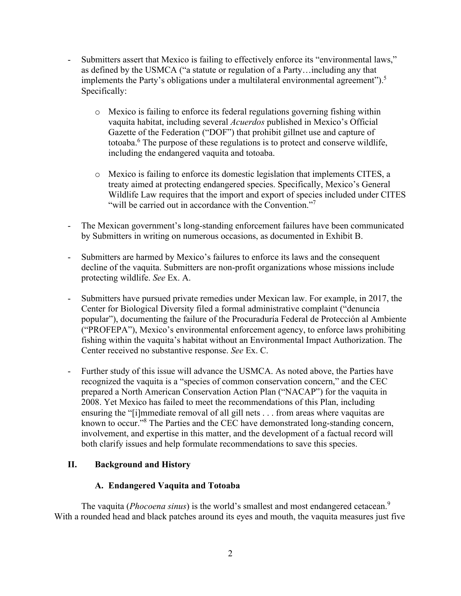- Submitters assert that Mexico is failing to effectively enforce its "environmental laws," as defined by the USMCA ("a statute or regulation of a Party…including any that implements the Party's obligations under a multilateral environmental agreement").<sup>5</sup> Specifically:
	- o Mexico is failing to enforce its federal regulations governing fishing within vaquita habitat, including several *Acuerdos* published in Mexico's Official Gazette of the Federation ("DOF") that prohibit gillnet use and capture of totoaba.<sup>6</sup> The purpose of these regulations is to protect and conserve wildlife, including the endangered vaquita and totoaba.
	- o Mexico is failing to enforce its domestic legislation that implements CITES, a treaty aimed at protecting endangered species. Specifically, Mexico's General Wildlife Law requires that the import and export of species included under CITES "will be carried out in accordance with the Convention."7
- The Mexican government's long-standing enforcement failures have been communicated by Submitters in writing on numerous occasions, as documented in Exhibit B.
- Submitters are harmed by Mexico's failures to enforce its laws and the consequent decline of the vaquita. Submitters are non-profit organizations whose missions include protecting wildlife. *See* Ex. A.
- Submitters have pursued private remedies under Mexican law. For example, in 2017, the Center for Biological Diversity filed a formal administrative complaint ("denuncia popular"), documenting the failure of the Procuraduría Federal de Protección al Ambiente ("PROFEPA"), Mexico's environmental enforcement agency, to enforce laws prohibiting fishing within the vaquita's habitat without an Environmental Impact Authorization. The Center received no substantive response. *See* Ex. C.
- Further study of this issue will advance the USMCA. As noted above, the Parties have recognized the vaquita is a "species of common conservation concern," and the CEC prepared a North American Conservation Action Plan ("NACAP") for the vaquita in 2008. Yet Mexico has failed to meet the recommendations of this Plan, including ensuring the "[i]mmediate removal of all gill nets . . . from areas where vaquitas are known to occur."<sup>8</sup> The Parties and the CEC have demonstrated long-standing concern, involvement, and expertise in this matter, and the development of a factual record will both clarify issues and help formulate recommendations to save this species.

## **II. Background and History**

## **A. Endangered Vaquita and Totoaba**

The vaquita (*Phocoena sinus*) is the world's smallest and most endangered cetacean.<sup>9</sup> With a rounded head and black patches around its eyes and mouth, the vaquita measures just five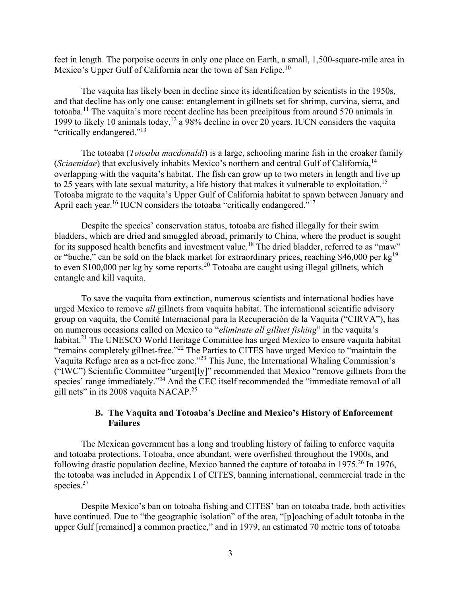feet in length. The porpoise occurs in only one place on Earth, a small, 1,500-square-mile area in Mexico's Upper Gulf of California near the town of San Felipe.<sup>10</sup>

 The vaquita has likely been in decline since its identification by scientists in the 1950s, and that decline has only one cause: entanglement in gillnets set for shrimp, curvina, sierra, and totoaba.11 The vaquita's more recent decline has been precipitous from around 570 animals in 1999 to likely 10 animals today,<sup>12</sup> a 98% decline in over 20 years. IUCN considers the vaguita "critically endangered."13

The totoaba (*Totoaba macdonaldi*) is a large, schooling marine fish in the croaker family (*Sciaenidae*) that exclusively inhabits Mexico's northern and central Gulf of California,14 overlapping with the vaquita's habitat. The fish can grow up to two meters in length and live up to 25 years with late sexual maturity, a life history that makes it vulnerable to exploitation.<sup>15</sup> Totoaba migrate to the vaquita's Upper Gulf of California habitat to spawn between January and April each year.<sup>16</sup> IUCN considers the totoaba "critically endangered."<sup>17</sup>

Despite the species' conservation status, totoaba are fished illegally for their swim bladders, which are dried and smuggled abroad, primarily to China, where the product is sought for its supposed health benefits and investment value.<sup>18</sup> The dried bladder, referred to as "maw" or "buche," can be sold on the black market for extraordinary prices, reaching \$46,000 per  $kg<sup>19</sup>$ to even \$100,000 per kg by some reports.<sup>20</sup> Totoaba are caught using illegal gillnets, which entangle and kill vaquita.

To save the vaquita from extinction, numerous scientists and international bodies have urged Mexico to remove *all* gillnets from vaquita habitat. The international scientific advisory group on vaquita, the Comité Internacional para la Recuperación de la Vaquita ("CIRVA"), has on numerous occasions called on Mexico to "*eliminate all gillnet fishing*" in the vaquita's habitat.<sup>21</sup> The UNESCO World Heritage Committee has urged Mexico to ensure vaquita habitat "remains completely gillnet-free."<sup>22</sup> The Parties to CITES have urged Mexico to "maintain the Vaquita Refuge area as a net-free zone."23 This June, the International Whaling Commission's ("IWC") Scientific Committee "urgent[ly]" recommended that Mexico "remove gillnets from the species' range immediately."<sup>24</sup> And the CEC itself recommended the "immediate removal of all gill nets" in its 2008 vaquita NACAP.25

### **B. The Vaquita and Totoaba's Decline and Mexico's History of Enforcement Failures**

The Mexican government has a long and troubling history of failing to enforce vaquita and totoaba protections. Totoaba, once abundant, were overfished throughout the 1900s, and following drastic population decline, Mexico banned the capture of totoaba in 1975.<sup>26</sup> In 1976. the totoaba was included in Appendix I of CITES, banning international, commercial trade in the species.<sup>27</sup>

Despite Mexico's ban on totoaba fishing and CITES' ban on totoaba trade, both activities have continued. Due to "the geographic isolation" of the area, "[p]oaching of adult totoaba in the upper Gulf [remained] a common practice," and in 1979, an estimated 70 metric tons of totoaba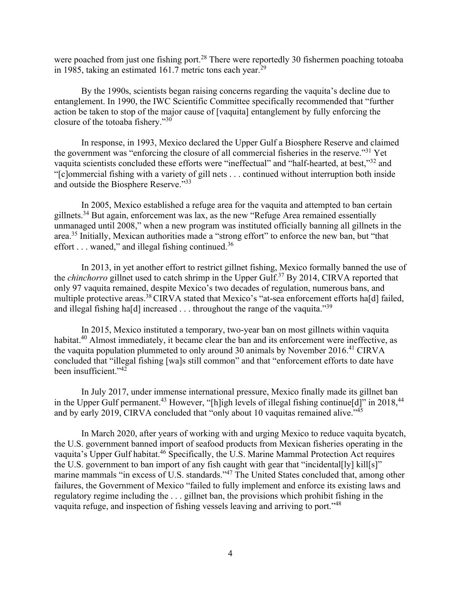were poached from just one fishing port.<sup>28</sup> There were reportedly 30 fishermen poaching totoaba in 1985, taking an estimated 161.7 metric tons each year.<sup>29</sup>

By the 1990s, scientists began raising concerns regarding the vaquita's decline due to entanglement. In 1990, the IWC Scientific Committee specifically recommended that "further action be taken to stop of the major cause of [vaquita] entanglement by fully enforcing the closure of the totoaba fishery."30

In response, in 1993, Mexico declared the Upper Gulf a Biosphere Reserve and claimed the government was "enforcing the closure of all commercial fisheries in the reserve."31 Yet vaquita scientists concluded these efforts were "ineffectual" and "half-hearted, at best,"32 and "[c]ommercial fishing with a variety of gill nets . . . continued without interruption both inside and outside the Biosphere Reserve."33

In 2005, Mexico established a refuge area for the vaquita and attempted to ban certain gillnets.<sup>34</sup> But again, enforcement was lax, as the new "Refuge Area remained essentially unmanaged until 2008," when a new program was instituted officially banning all gillnets in the area.35 Initially, Mexican authorities made a "strong effort" to enforce the new ban, but "that effort  $\dots$  waned," and illegal fishing continued.<sup>36</sup>

In 2013, in yet another effort to restrict gillnet fishing, Mexico formally banned the use of the *chinchorro* gillnet used to catch shrimp in the Upper Gulf.37 By 2014, CIRVA reported that only 97 vaquita remained, despite Mexico's two decades of regulation, numerous bans, and multiple protective areas.<sup>38</sup> CIRVA stated that Mexico's "at-sea enforcement efforts ha[d] failed, and illegal fishing ha[d] increased  $\dots$  throughout the range of the vaquita.<sup>339</sup>

In 2015, Mexico instituted a temporary, two-year ban on most gillnets within vaquita habitat.<sup>40</sup> Almost immediately, it became clear the ban and its enforcement were ineffective, as the vaquita population plummeted to only around 30 animals by November 2016.<sup>41</sup> CIRVA concluded that "illegal fishing [wa]s still common" and that "enforcement efforts to date have been insufficient."42

In July 2017, under immense international pressure, Mexico finally made its gillnet ban in the Upper Gulf permanent.<sup>43</sup> However, "[h]igh levels of illegal fishing continue[d]" in 2018,<sup>44</sup> and by early 2019, CIRVA concluded that "only about 10 vaquitas remained alive."<sup>45</sup>

In March 2020, after years of working with and urging Mexico to reduce vaquita bycatch, the U.S. government banned import of seafood products from Mexican fisheries operating in the vaquita's Upper Gulf habitat.<sup>46</sup> Specifically, the U.S. Marine Mammal Protection Act requires the U.S. government to ban import of any fish caught with gear that "incidental[ly] kill[s]" marine mammals "in excess of U.S. standards."<sup>47</sup> The United States concluded that, among other failures, the Government of Mexico "failed to fully implement and enforce its existing laws and regulatory regime including the . . . gillnet ban, the provisions which prohibit fishing in the vaquita refuge, and inspection of fishing vessels leaving and arriving to port."48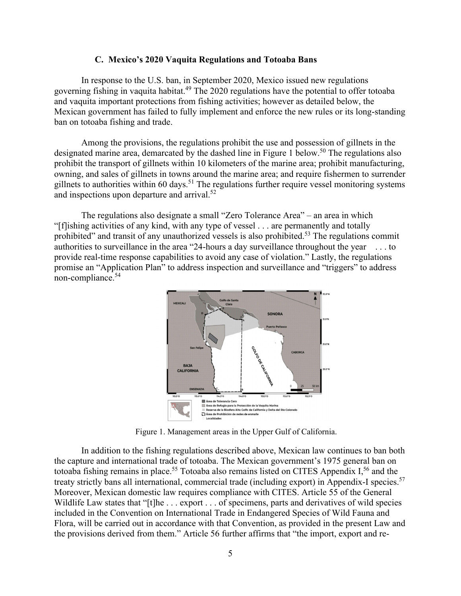#### **C. Mexico's 2020 Vaquita Regulations and Totoaba Bans**

In response to the U.S. ban, in September 2020, Mexico issued new regulations governing fishing in vaquita habitat.49 The 2020 regulations have the potential to offer totoaba and vaquita important protections from fishing activities; however as detailed below, the Mexican government has failed to fully implement and enforce the new rules or its long-standing ban on totoaba fishing and trade.

Among the provisions, the regulations prohibit the use and possession of gillnets in the designated marine area, demarcated by the dashed line in Figure 1 below.<sup>50</sup> The regulations also prohibit the transport of gillnets within 10 kilometers of the marine area; prohibit manufacturing, owning, and sales of gillnets in towns around the marine area; and require fishermen to surrender gillnets to authorities within 60 days.<sup>51</sup> The regulations further require vessel monitoring systems and inspections upon departure and arrival.52

The regulations also designate a small "Zero Tolerance Area" – an area in which "[f]ishing activities of any kind, with any type of vessel . . . are permanently and totally prohibited" and transit of any unauthorized vessels is also prohibited.<sup>53</sup> The regulations commit authorities to surveillance in the area "24-hours a day surveillance throughout the year . . . to provide real-time response capabilities to avoid any case of violation." Lastly, the regulations promise an "Application Plan" to address inspection and surveillance and "triggers" to address non-compliance.54



Figure 1. Management areas in the Upper Gulf of California.

 In addition to the fishing regulations described above, Mexican law continues to ban both the capture and international trade of totoaba. The Mexican government's 1975 general ban on totoaba fishing remains in place.<sup>55</sup> Totoaba also remains listed on CITES Appendix I,<sup>56</sup> and the treaty strictly bans all international, commercial trade (including export) in Appendix-I species.<sup>57</sup> Moreover, Mexican domestic law requires compliance with CITES. Article 55 of the General Wildlife Law states that "[t]he ... export ... of specimens, parts and derivatives of wild species included in the Convention on International Trade in Endangered Species of Wild Fauna and Flora, will be carried out in accordance with that Convention, as provided in the present Law and the provisions derived from them." Article 56 further affirms that "the import, export and re-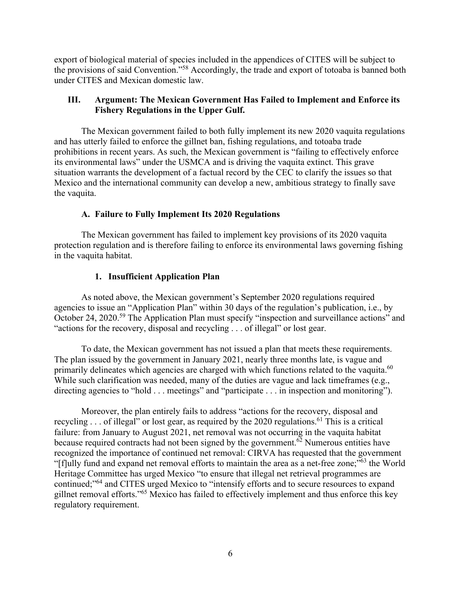export of biological material of species included in the appendices of CITES will be subject to the provisions of said Convention."58 Accordingly, the trade and export of totoaba is banned both under CITES and Mexican domestic law.

## **III. Argument: The Mexican Government Has Failed to Implement and Enforce its Fishery Regulations in the Upper Gulf.**

The Mexican government failed to both fully implement its new 2020 vaquita regulations and has utterly failed to enforce the gillnet ban, fishing regulations, and totoaba trade prohibitions in recent years. As such, the Mexican government is "failing to effectively enforce its environmental laws" under the USMCA and is driving the vaquita extinct. This grave situation warrants the development of a factual record by the CEC to clarify the issues so that Mexico and the international community can develop a new, ambitious strategy to finally save the vaquita.

## **A. Failure to Fully Implement Its 2020 Regulations**

The Mexican government has failed to implement key provisions of its 2020 vaquita protection regulation and is therefore failing to enforce its environmental laws governing fishing in the vaquita habitat.

## **1. Insufficient Application Plan**

As noted above, the Mexican government's September 2020 regulations required agencies to issue an "Application Plan" within 30 days of the regulation's publication, i.e., by October 24, 2020.<sup>59</sup> The Application Plan must specify "inspection and surveillance actions" and "actions for the recovery, disposal and recycling . . . of illegal" or lost gear.

To date, the Mexican government has not issued a plan that meets these requirements. The plan issued by the government in January 2021, nearly three months late, is vague and primarily delineates which agencies are charged with which functions related to the vaguita.<sup>60</sup> While such clarification was needed, many of the duties are vague and lack timeframes (e.g., directing agencies to "hold . . . meetings" and "participate . . . in inspection and monitoring").

Moreover, the plan entirely fails to address "actions for the recovery, disposal and recycling  $\ldots$  of illegal" or lost gear, as required by the 2020 regulations.<sup>61</sup> This is a critical failure: from January to August 2021, net removal was not occurring in the vaquita habitat because required contracts had not been signed by the government.<sup>62</sup> Numerous entities have recognized the importance of continued net removal: CIRVA has requested that the government "[f]ully fund and expand net removal efforts to maintain the area as a net-free zone;"63 the World Heritage Committee has urged Mexico "to ensure that illegal net retrieval programmes are continued;"64 and CITES urged Mexico to "intensify efforts and to secure resources to expand gillnet removal efforts."65 Mexico has failed to effectively implement and thus enforce this key regulatory requirement.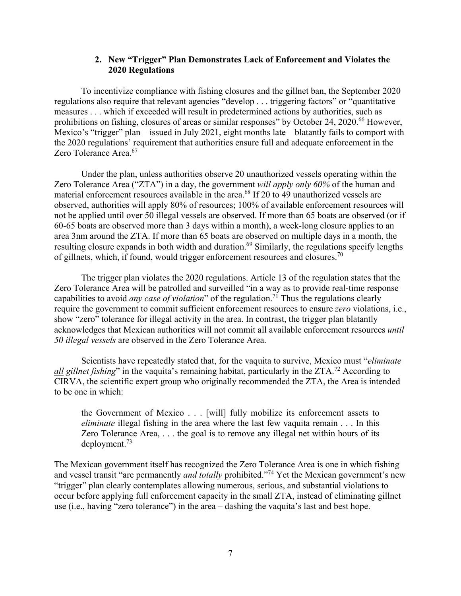#### **2. New "Trigger" Plan Demonstrates Lack of Enforcement and Violates the 2020 Regulations**

To incentivize compliance with fishing closures and the gillnet ban, the September 2020 regulations also require that relevant agencies "develop . . . triggering factors" or "quantitative measures . . . which if exceeded will result in predetermined actions by authorities, such as prohibitions on fishing, closures of areas or similar responses" by October 24, 2020.<sup>66</sup> However, Mexico's "trigger" plan – issued in July 2021, eight months late – blatantly fails to comport with the 2020 regulations' requirement that authorities ensure full and adequate enforcement in the Zero Tolerance Area.<sup>67</sup>

Under the plan, unless authorities observe 20 unauthorized vessels operating within the Zero Tolerance Area ("ZTA") in a day, the government *will apply only 60%* of the human and material enforcement resources available in the area.<sup>68</sup> If 20 to 49 unauthorized vessels are observed, authorities will apply 80% of resources; 100% of available enforcement resources will not be applied until over 50 illegal vessels are observed. If more than 65 boats are observed (or if 60-65 boats are observed more than 3 days within a month), a week-long closure applies to an area 3nm around the ZTA. If more than 65 boats are observed on multiple days in a month, the resulting closure expands in both width and duration.<sup>69</sup> Similarly, the regulations specify lengths of gillnets, which, if found, would trigger enforcement resources and closures.<sup>70</sup>

The trigger plan violates the 2020 regulations. Article 13 of the regulation states that the Zero Tolerance Area will be patrolled and surveilled "in a way as to provide real-time response capabilities to avoid *any case of violation*" of the regulation.71 Thus the regulations clearly require the government to commit sufficient enforcement resources to ensure *zero* violations, i.e., show "zero" tolerance for illegal activity in the area. In contrast, the trigger plan blatantly acknowledges that Mexican authorities will not commit all available enforcement resources *until 50 illegal vessels* are observed in the Zero Tolerance Area.

Scientists have repeatedly stated that, for the vaquita to survive, Mexico must "*eliminate all gillnet fishing*" in the vaquita's remaining habitat, particularly in the ZTA.<sup>72</sup> According to CIRVA, the scientific expert group who originally recommended the ZTA, the Area is intended to be one in which:

the Government of Mexico . . . [will] fully mobilize its enforcement assets to *eliminate* illegal fishing in the area where the last few vaquita remain . . . In this Zero Tolerance Area, . . . the goal is to remove any illegal net within hours of its deployment.73

The Mexican government itself has recognized the Zero Tolerance Area is one in which fishing and vessel transit "are permanently *and totally* prohibited."74 Yet the Mexican government's new "trigger" plan clearly contemplates allowing numerous, serious, and substantial violations to occur before applying full enforcement capacity in the small ZTA, instead of eliminating gillnet use (i.e., having "zero tolerance") in the area – dashing the vaquita's last and best hope.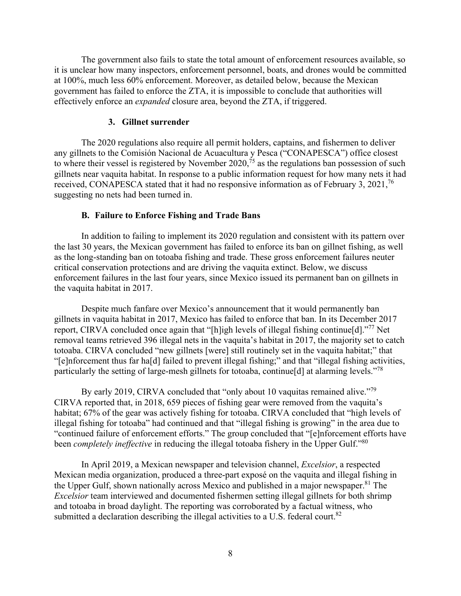The government also fails to state the total amount of enforcement resources available, so it is unclear how many inspectors, enforcement personnel, boats, and drones would be committed at 100%, much less 60% enforcement. Moreover, as detailed below, because the Mexican government has failed to enforce the ZTA, it is impossible to conclude that authorities will effectively enforce an *expanded* closure area, beyond the ZTA, if triggered.

#### **3. Gillnet surrender**

The 2020 regulations also require all permit holders, captains, and fishermen to deliver any gillnets to the Comisión Nacional de Acuacultura y Pesca ("CONAPESCA") office closest to where their vessel is registered by November  $2020$ ,  $\frac{1}{25}$  as the regulations ban possession of such gillnets near vaquita habitat. In response to a public information request for how many nets it had received, CONAPESCA stated that it had no responsive information as of February 3, 2021,<sup>76</sup> suggesting no nets had been turned in.

#### **B. Failure to Enforce Fishing and Trade Bans**

In addition to failing to implement its 2020 regulation and consistent with its pattern over the last 30 years, the Mexican government has failed to enforce its ban on gillnet fishing, as well as the long-standing ban on totoaba fishing and trade. These gross enforcement failures neuter critical conservation protections and are driving the vaquita extinct. Below, we discuss enforcement failures in the last four years, since Mexico issued its permanent ban on gillnets in the vaquita habitat in 2017.

Despite much fanfare over Mexico's announcement that it would permanently ban gillnets in vaquita habitat in 2017, Mexico has failed to enforce that ban. In its December 2017 report, CIRVA concluded once again that "[h]igh levels of illegal fishing continue[d]."77 Net removal teams retrieved 396 illegal nets in the vaquita's habitat in 2017, the majority set to catch totoaba. CIRVA concluded "new gillnets [were] still routinely set in the vaquita habitat;" that "[e]nforcement thus far ha[d] failed to prevent illegal fishing;" and that "illegal fishing activities, particularly the setting of large-mesh gillnets for totoaba, continue[d] at alarming levels."78

By early 2019, CIRVA concluded that "only about 10 vaquitas remained alive."<sup>79</sup> CIRVA reported that, in 2018, 659 pieces of fishing gear were removed from the vaquita's habitat; 67% of the gear was actively fishing for totoaba. CIRVA concluded that "high levels of illegal fishing for totoaba" had continued and that "illegal fishing is growing" in the area due to "continued failure of enforcement efforts." The group concluded that "[e]nforcement efforts have been *completely ineffective* in reducing the illegal totoaba fishery in the Upper Gulf."<sup>80</sup>

In April 2019, a Mexican newspaper and television channel, *Excelsior*, a respected Mexican media organization, produced a three-part exposé on the vaquita and illegal fishing in the Upper Gulf, shown nationally across Mexico and published in a major newspaper.<sup>81</sup> The *Excelsior* team interviewed and documented fishermen setting illegal gillnets for both shrimp and totoaba in broad daylight. The reporting was corroborated by a factual witness, who submitted a declaration describing the illegal activities to a U.S. federal court.<sup>82</sup>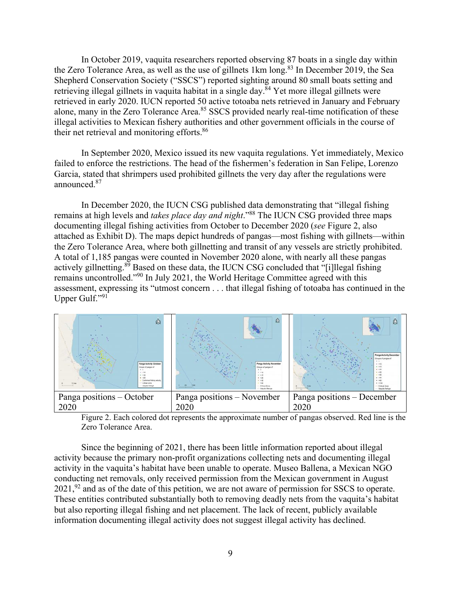In October 2019, vaquita researchers reported observing 87 boats in a single day within the Zero Tolerance Area, as well as the use of gillnets 1km long.<sup>83</sup> In December 2019, the Sea Shepherd Conservation Society ("SSCS") reported sighting around 80 small boats setting and retrieving illegal gillnets in vaquita habitat in a single day.<sup>84</sup> Yet more illegal gillnets were retrieved in early 2020. IUCN reported 50 active totoaba nets retrieved in January and February alone, many in the Zero Tolerance Area.<sup>85</sup> SSCS provided nearly real-time notification of these illegal activities to Mexican fishery authorities and other government officials in the course of their net retrieval and monitoring efforts.<sup>86</sup>

In September 2020, Mexico issued its new vaquita regulations. Yet immediately, Mexico failed to enforce the restrictions. The head of the fishermen's federation in San Felipe, Lorenzo Garcia, stated that shrimpers used prohibited gillnets the very day after the regulations were announced.87

In December 2020, the IUCN CSG published data demonstrating that "illegal fishing remains at high levels and *takes place day and night*."88 The IUCN CSG provided three maps documenting illegal fishing activities from October to December 2020 (*see* Figure 2, also attached as Exhibit D). The maps depict hundreds of pangas—most fishing with gillnets—within the Zero Tolerance Area, where both gillnetting and transit of any vessels are strictly prohibited. A total of 1,185 pangas were counted in November 2020 alone, with nearly all these pangas actively gillnetting.<sup>89</sup> Based on these data, the IUCN CSG concluded that "[i]llegal fishing remains uncontrolled."90 In July 2021, the World Heritage Committee agreed with this assessment, expressing its "utmost concern . . . that illegal fishing of totoaba has continued in the Upper Gulf."91



Figure 2. Each colored dot represents the approximate number of pangas observed. Red line is the Zero Tolerance Area.

Since the beginning of 2021, there has been little information reported about illegal activity because the primary non-profit organizations collecting nets and documenting illegal activity in the vaquita's habitat have been unable to operate. Museo Ballena, a Mexican NGO conducting net removals, only received permission from the Mexican government in August  $2021$ ,  $92$  and as of the date of this petition, we are not aware of permission for SSCS to operate. These entities contributed substantially both to removing deadly nets from the vaquita's habitat but also reporting illegal fishing and net placement. The lack of recent, publicly available information documenting illegal activity does not suggest illegal activity has declined.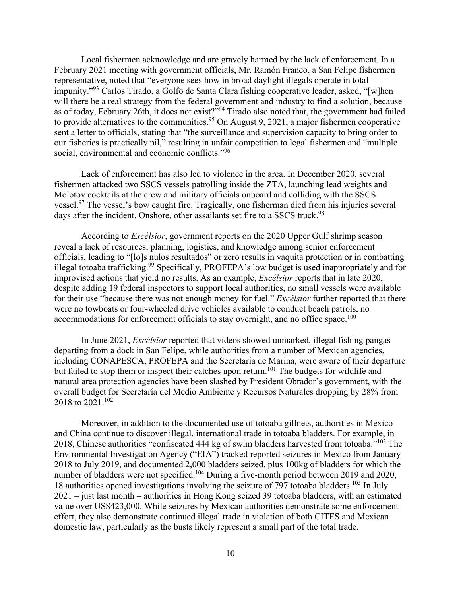Local fishermen acknowledge and are gravely harmed by the lack of enforcement. In a February 2021 meeting with government officials, Mr. Ramón Franco, a San Felipe fishermen representative, noted that "everyone sees how in broad daylight illegals operate in total impunity."<sup>93</sup> Carlos Tirado, a Golfo de Santa Clara fishing cooperative leader, asked, "[w]hen will there be a real strategy from the federal government and industry to find a solution, because as of today, February 26th, it does not exist?"<sup>94</sup> Tirado also noted that, the government had failed to provide alternatives to the communities.<sup>95</sup> On August 9, 2021, a major fishermen cooperative sent a letter to officials, stating that "the surveillance and supervision capacity to bring order to our fisheries is practically nil," resulting in unfair competition to legal fishermen and "multiple social, environmental and economic conflicts."<sup>96</sup>

Lack of enforcement has also led to violence in the area. In December 2020, several fishermen attacked two SSCS vessels patrolling inside the ZTA, launching lead weights and Molotov cocktails at the crew and military officials onboard and colliding with the SSCS vessel.<sup>97</sup> The vessel's bow caught fire. Tragically, one fisherman died from his injuries several days after the incident. Onshore, other assailants set fire to a SSCS truck.<sup>98</sup>

According to *Excélsior*, government reports on the 2020 Upper Gulf shrimp season reveal a lack of resources, planning, logistics, and knowledge among senior enforcement officials, leading to "[lo]s nulos resultados" or zero results in vaquita protection or in combatting illegal totoaba trafficking.<sup>99</sup> Specifically, PROFEPA's low budget is used inappropriately and for improvised actions that yield no results. As an example, *Excélsior* reports that in late 2020, despite adding 19 federal inspectors to support local authorities, no small vessels were available for their use "because there was not enough money for fuel." *Excélsior* further reported that there were no towboats or four-wheeled drive vehicles available to conduct beach patrols, no accommodations for enforcement officials to stay overnight, and no office space.<sup>100</sup>

In June 2021, *Excélsior* reported that videos showed unmarked, illegal fishing pangas departing from a dock in San Felipe, while authorities from a number of Mexican agencies, including CONAPESCA, PROFEPA and the Secretaría de Marina, were aware of their departure but failed to stop them or inspect their catches upon return.<sup>101</sup> The budgets for wildlife and natural area protection agencies have been slashed by President Obrador's government, with the overall budget for Secretaría del Medio Ambiente y Recursos Naturales dropping by 28% from 2018 to 2021.<sup>102</sup>

Moreover, in addition to the documented use of totoaba gillnets, authorities in Mexico and China continue to discover illegal, international trade in totoaba bladders. For example, in 2018, Chinese authorities "confiscated 444 kg of swim bladders harvested from totoaba."103 The Environmental Investigation Agency ("EIA") tracked reported seizures in Mexico from January 2018 to July 2019, and documented 2,000 bladders seized, plus 100kg of bladders for which the number of bladders were not specified.<sup>104</sup> During a five-month period between 2019 and 2020, 18 authorities opened investigations involving the seizure of 797 totoaba bladders.<sup>105</sup> In July 2021 – just last month – authorities in Hong Kong seized 39 totoaba bladders, with an estimated value over US\$423,000. While seizures by Mexican authorities demonstrate some enforcement effort, they also demonstrate continued illegal trade in violation of both CITES and Mexican domestic law, particularly as the busts likely represent a small part of the total trade.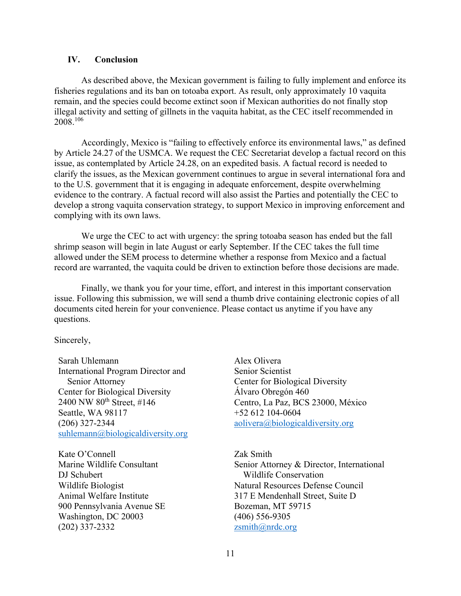#### **IV. Conclusion**

As described above, the Mexican government is failing to fully implement and enforce its fisheries regulations and its ban on totoaba export. As result, only approximately 10 vaquita remain, and the species could become extinct soon if Mexican authorities do not finally stop illegal activity and setting of gillnets in the vaquita habitat, as the CEC itself recommended in 2008.106

Accordingly, Mexico is "failing to effectively enforce its environmental laws," as defined by Article 24.27 of the USMCA. We request the CEC Secretariat develop a factual record on this issue, as contemplated by Article 24.28, on an expedited basis. A factual record is needed to clarify the issues, as the Mexican government continues to argue in several international fora and to the U.S. government that it is engaging in adequate enforcement, despite overwhelming evidence to the contrary. A factual record will also assist the Parties and potentially the CEC to develop a strong vaquita conservation strategy, to support Mexico in improving enforcement and complying with its own laws.

We urge the CEC to act with urgency: the spring totoaba season has ended but the fall shrimp season will begin in late August or early September. If the CEC takes the full time allowed under the SEM process to determine whether a response from Mexico and a factual record are warranted, the vaquita could be driven to extinction before those decisions are made.

Finally, we thank you for your time, effort, and interest in this important conservation issue. Following this submission, we will send a thumb drive containing electronic copies of all documents cited herein for your convenience. Please contact us anytime if you have any questions.

Sincerely,

Sarah Uhlemann International Program Director and Senior Attorney Center for Biological Diversity 2400 NW 80<sup>th</sup> Street, #146 Seattle, WA 98117 (206) 327-2344 suhlemann@biologicaldiversity.org

Kate O'Connell Marine Wildlife Consultant DJ Schubert Wildlife Biologist Animal Welfare Institute 900 Pennsylvania Avenue SE Washington, DC 20003 (202) 337-2332

Alex Olivera Senior Scientist Center for Biological Diversity Álvaro Obregón 460 Centro, La Paz, BCS 23000, México +52 612 104-0604 aolivera@biologicaldiversity.org

Zak Smith Senior Attorney & Director, International Wildlife Conservation Natural Resources Defense Council 317 E Mendenhall Street, Suite D Bozeman, MT 59715 (406) 556-9305 zsmith@nrdc.org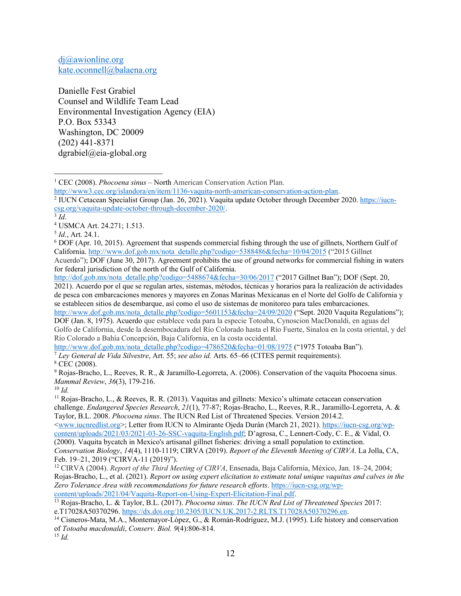dj@awionline.org kate.oconnell@balaena.org

Danielle Fest Grabiel Counsel and Wildlife Team Lead Environmental Investigation Agency (EIA) P.O. Box 53343 Washington, DC 20009 (202) 441-8371 dgrabiel@eia-global.org

http://www3.cec.org/islandora/en/item/1136-vaquita-north-american-conservation-action-plan.

 DOF (Apr. 10, 2015). Agreement that suspends commercial fishing through the use of gillnets, Northern Gulf of California. http://www.dof.gob.mx/nota\_detalle.php?codigo=5388486&fecha=10/04/2015 ("2015 Gillnet

Acuerdo"); DOF (June 30, 2017). Agreement prohibits the use of ground networks for commercial fishing in waters for federal jurisdiction of the north of the Gulf of California.

http://dof.gob.mx/nota\_detalle.php?codigo=5488674&fecha=30/06/2017 ("2017 Gillnet Ban"); DOF (Sept. 20, 2021). Acuerdo por el que se regulan artes, sistemas, métodos, técnicas y horarios para la realización de actividades de pesca con embarcaciones menores y mayores en Zonas Marinas Mexicanas en el Norte del Golfo de California y se establecen sitios de desembarque, así como el uso de sistemas de monitoreo para tales embarcaciones.

http://www.dof.gob.mx/nota\_detalle.php?codigo=5601153&fecha=24/09/2020 ("Sept. 2020 Vaquita Regulations"); DOF (Jan. 8, 1975). Acuerdo que establece veda para la especie Totoaba, Cynoscion MacDonaldi, en aguas del Golfo de California, desde la desembocadura del Río Colorado hasta el Río Fuerte, Sinaloa en la costa oriental, y del Río Colorado a Bahía Concepción, Baja California, en la costa occidental.

http://www.dof.gob.mx/nota\_detalle.php?codigo=4786520&fecha=01/08/1975 ("1975 Totoaba Ban"). 7 *Ley General de Vida Silvestre*, Art. 55; *see also id.* Arts. 65–66 (CITES permit requirements). 8

 $8$  CEC (2008).

<sup>9</sup> Rojas-Bracho, L., Reeves, R. R., & Jaramillo-Legorreta, A. (2006). Conservation of the vaquita Phocoena sinus. *Mammal Review*, *36*(3), 179-216. 10 *Id.* 

11 Rojas-Bracho, L., & Reeves, R. R. (2013). Vaquitas and gillnets: Mexico's ultimate cetacean conservation challenge. *Endangered Species Research*, *21*(1), 77-87; Rojas-Bracho, L., Reeves, R.R., Jaramillo-Legorreta, A. & Taylor, B.L. 2008. *Phocoena sinus*. The IUCN Red List of Threatened Species. Version 2014.2.

<www.iucnredlist.org>; Letter from IUCN to Almirante Ojeda Durán (March 21, 2021). https://iucn-csg.org/wpcontent/uploads/2021/03/2021-03-26-SSC-vaquita-English.pdf; D'agrosa, C., Lennert‐Cody, C. E., & Vidal, O. (2000). Vaquita bycatch in Mexico's artisanal gillnet fisheries: driving a small population to extinction. *Conservation Biology*, *14*(4), 1110-1119; CIRVA (2019). *Report of the Eleventh Meeting of CIRVA*. La Jolla, CA, Feb. 19–21, 2019 ("CIRVA-11 (2019)").

12 CIRVA (2004). *Report of the Third Meeting of CIRVA*, Ensenada, Baja California, México, Jan. 18–24, 2004; Rojas-Bracho, L., et al. (2021). *Report on using expert elicitation to estimate total unique vaquitas and calves in the Zero Tolerance Area with recommendations for future research efforts*. https://iucn-csg.org/wp-

<sup>&</sup>lt;sup>1</sup> CEC (2008). *Phocoena sinus* – North American Conservation Action Plan.

<sup>&</sup>lt;sup>2</sup> IUCN Cetacean Specialist Group (Jan. 26, 2021). Vaquita update October through December 2020. https://iucncsg.org/vaquita-update-october-through-december-2020/. 3 *Id*. 4

USMCA Art. 24.271; 1.513.

<sup>5</sup> *Id.*, Art. 24.1. 6

content/uploads/2021/04/Vaquita-Report-on-Using-Expert-Elicitation-Final.pdf. 13 Rojas-Bracho, L. & Taylor, B.L. (2017). *Phocoena sinus*. *The IUCN Red List of Threatened Species* 2017: e.T17028A50370296. https://dx.doi.org/10.2305/IUCN.UK.2017-2.RLTS.T17028A50370296.en.<br><sup>14</sup> Cisneros-Mata, M.A., Montemayor-López, G., & Román-Rodríguez, M.J. (1995). Life history and conservation

of *Totoaba macdonaldi*, *Conserv. Biol. 9*(4):806-814. 15 *Id.*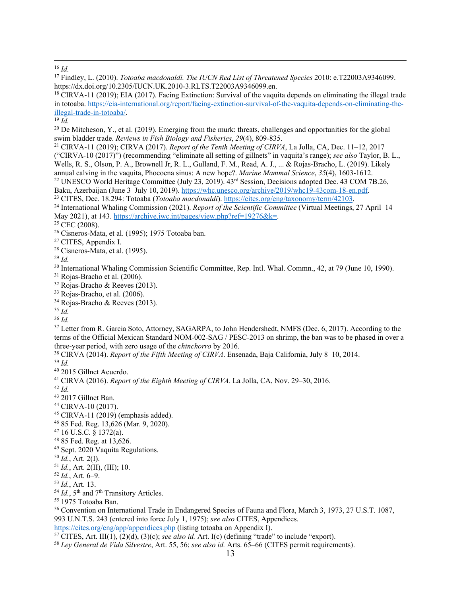<sup>16</sup> *Id.* 

17 Findley, L. (2010). *Totoaba macdonaldi. The IUCN Red List of Threatened Species* 2010: e.T22003A9346099. https://dx.doi.org/10.2305/IUCN.UK.2010-3.RLTS.T22003A9346099.en.<br><sup>18</sup> CIRVA-11 (2019); EIA (2017). Facing Extinction: Survival of the vaquita depends on eliminating the illegal trade

in totoaba. https://eia-international.org/report/facing-extinction-survival-of-the-vaquita-depends-on-eliminating-theillegal-trade-in-totoaba/. 19 *Id.* 

<sup>20</sup> De Mitcheson, Y., et al. (2019). Emerging from the murk: threats, challenges and opportunities for the global swim bladder trade. *Reviews in Fish Biology and Fisheries*,  $29(4)$ ,  $809-835$ .

<sup>21</sup> CIRVA-11 (2019); CIRVA (2017). *Report of the Tenth Meeting of CIRVA*, La Jolla, CA, Dec. 11–12, 2017 ("CIRVA-10 (2017)") (recommending "eliminate all setting of gillnets" in vaquita's range); *see also* Taylor, B. L., Wells, R. S., Olson, P. A., Brownell Jr, R. L., Gulland, F. M., Read, A. J., ... & Rojas-Bracho, L. (2019). Likely annual calving in the vaquita, Phocoena sinus: A new hope?. *Marine Mammal Science*, 35(4), 1603-1612. <sup>22</sup> UNESCO World Heritage Committee (July 23, 2019). 43<sup>rd</sup> Session, Decisions adopted Dec. 43 COM 7B.26, Baku, Azerbaijan (June 3–July 10, 2019). https://whc.unesco.org/archive/2019/whc19-43com-18-en.pdf.<br><sup>23</sup> CITES, Dec. 18.294: Totoaba (*Totoaba macdonaldi*). https://cites.org/eng/taxonomy/term/42103.<br><sup>24</sup> International Wha

May 2021), at 143. https://archive.iwc.int/pages/view.php?ref=19276&k=.<br><sup>25</sup> CEC (2008).

<sup>26</sup> Cisneros-Mata, et al. (1995); 1975 Totoaba ban.<br><sup>27</sup> CITES, Appendix I.

 $28$  Cisneros-Mata, et al. (1995).

 $^{29}$  *Id.* 

<sup>30</sup> International Whaling Commission Scientific Committee, Rep. Intl. Whal. Commn., 42, at 79 (June 10, 1990).<br><sup>31</sup> Rojas-Bracho et al. (2006).

32 Rojas-Bracho & Reeves (2013).

33 Rojas-Bracho, et al. (2006).

34 Rojas-Bracho & Reeves (2013)*.*

 $35$  *Id.* 

<sup>36</sup> *Id.* 

<sup>37</sup> Letter from R. Garcia Soto, Attorney, SAGARPA, to John Hendershedt, NMFS (Dec. 6, 2017). According to the terms of the Official Mexican Standard NOM-002-SAG / PESC-2013 on shrimp, the ban was to be phased in over a three-year period, with zero usage of the *chinchorro* by 2016.<br><sup>38</sup> CIRVA (2014). *Report of the Fifth Meeting of CIRVA*. Ensenada, Baja California, July 8–10, 2014.<br><sup>39</sup> *Id.* 

40 2015 Gillnet Acuerdo.

41 CIRVA (2016). *Report of the Eighth Meeting of CIRVA*. La Jolla, CA, Nov. 29–30, 2016. 42 *Id.* 

- 43 2017 Gillnet Ban.
- 44 CIRVA-10 (2017).

 $45$  CIRVA-11 (2019) (emphasis added).

- 46 85 Fed. Reg. 13,626 (Mar. 9, 2020).
- $47$  16 U.S.C. § 1372(a).

48 85 Fed. Reg. at 13,626.

- 49 Sept. 2020 Vaquita Regulations.
- 

<sup>50</sup> *Id.*, Art. 2(I). 51 *Id.*, Art. 2(II), (III); 10. 52 *Id.*, Art. 6–9. 53 *Id.*, Art. 13.

<sup>54</sup> *Id.*, 5<sup>th</sup> and 7<sup>th</sup> Transitory Articles.<br><sup>55</sup> 1975 Totoaba Ban.

56 Convention on International Trade in Endangered Species of Fauna and Flora, March 3, 1973, 27 U.S.T. 1087, 993 U.N.T.S. 243 (entered into force July 1, 1975); *see also* CITES, Appendices.

<sup>57</sup> CITES, Art. III(1), (2)(d), (3)(c); see also id. Art. I(c) (defining "trade" to include "export).<br><sup>58</sup> Ley General de Vida Silvestre, Art. 55, 56; see also id. Arts. 65–66 (CITES permit requirements).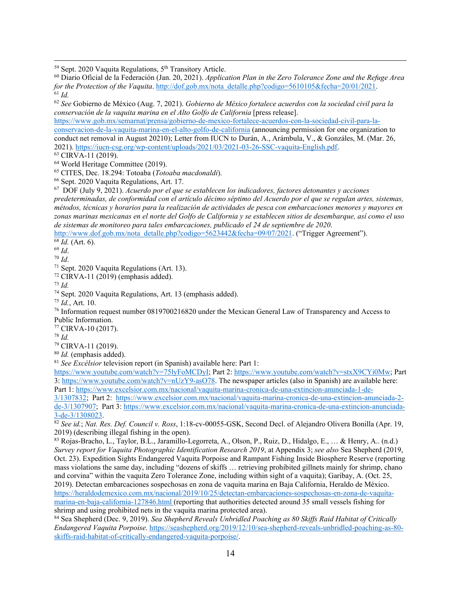<sup>59</sup> Sept. 2020 Vaquita Regulations, 5<sup>th</sup> Transitory Article.<br><sup>60</sup> Diario Oficial de la Federación (Jan. 20, 2021). *Application Plan in the Zero Tolerance Zone and the Refuge Area for the Protection of the Vaquita.* http://dof.gob.mx/nota\_detalle.php?codigo=5610105&fecha=20/01/2021. <sup>61</sup> *Id* 

<sup>62</sup> *See* Gobierno de México (Aug. 7, 2021). *Gobierno de México fortalece acuerdos con la sociedad civil para la conservación de la vaquita marina en el Alto Golfo de California* [press release].

https://www.gob.mx/semarnat/prensa/gobierno-de-mexico-fortalece-acuerdos-con-la-sociedad-civil-para-laconservacion-de-la-vaquita-marina-en-el-alto-golfo-de-california (announcing permission for one organization to conduct net removal in August 20210); Letter from IUCN to Durán, A., Arámbula, V., & Gonzáles, M. (Mar. 26, 2021). https://iucn-csg.org/wp-content/uploads/2021/03/2021-03-26-SSC-vaquita-English.pdf. 63 CIRVA-11 (2019).

64 World Heritage Committee (2019).

65 CITES, Dec. 18.294: Totoaba (*Totoaba macdonaldi*). 66 Sept. 2020 Vaquita Regulations, Art. 17.

67 DOF (July 9, 2021). *Acuerdo por el que se establecen los indicadores, factores detonantes y acciones predeterminadas, de conformidad con el artículo décimo séptimo del Acuerdo por el que se regulan artes, sistemas, métodos, técnicas y horarios para la realización de actividades de pesca con embarcaciones menores y mayores en zonas marinas mexicanas en el norte del Golfo de California y se establecen sitios de desembarque, así como el uso de sistemas de monitoreo para tales embarcaciones, publicado el 24 de septiembre de 2020*.

http://www.dof.gob.mx/nota\_detalle.php?codigo=5623442&fecha=09/07/2021. ("Trigger Agreement").<br>
<sup>69</sup> *Id.* (Art. 6).<br>
<sup>70</sup> *Id.*<br>
<sup>71</sup> Sept. 2020 Vaquita Regulations (Art. 13).

 $72$  CIRVA-11 (2019) (emphasis added).

 $^{73}$  *Id.* 

<sup>74</sup> Sept. 2020 Vaquita Regulations, Art. 13 (emphasis added). <sup>75</sup> *Id.*, Art. 10.

<sup>76</sup> Information request number 0819700216820 under the Mexican General Law of Transparency and Access to Public Information.

77 CIRVA-10 (2017).

<sup>78</sup> *Id.* 

79 CIRVA-11 (2019).

<sup>80</sup> *Id.* (emphasis added). 81 *See Excélsior* television report (in Spanish) available here: Part 1:

https://www.youtube.com/watch?v=75lyFoMCDyI; Part 2: https://www.youtube.com/watch?v=stxX9CYi0Mw; Part 3: https://www.youtube.com/watch?v=nUzY9-asO78. The newspaper articles (also in Spanish) are available here: Part 1: https://www.excelsior.com.mx/nacional/vaquita-marina-cronica-de-una-extincion-anunciada-1-de-

3/1307832; Part 2: https://www.excelsior.com.mx/nacional/vaquita-marina-cronica-de-una-extincion-anunciada-2 de-3/1307907; Part 3: https://www.excelsior.com.mx/nacional/vaquita-marina-cronica-de-una-extincion-anunciada-<br>3-de-3/1308023.

<sup>82</sup> See id.; *Nat. Res. Def. Council v. Ross*, 1:18-cv-00055-GSK, Second Decl. of Alejandro Olivera Bonilla (Apr. 19, 2019) (describing illegal fishing in the open).

83 Rojas-Bracho, L., Taylor, B.L., Jaramillo-Legorreta, A., Olson, P., Ruiz, D., Hidalgo, E., … & Henry, A.. (n.d.) *Survey report for Vaquita Photographic Identification Research 2019*, at Appendix 3; *see also* Sea Shepherd (2019, Oct. 23). Expedition Sights Endangered Vaquita Porpoise and Rampant Fishing Inside Biosphere Reserve (reporting mass violations the same day, including "dozens of skiffs … retrieving prohibited gillnets mainly for shrimp, chano and corvina" within the vaquita Zero Tolerance Zone, including within sight of a vaquita); Garibay, A. (Oct. 25, 2019). Detectan embarcaciones sospechosas en zona de vaquita marina en Baja California, Heraldo de México. https://heraldodemexico.com.mx/nacional/2019/10/25/detectan-embarcaciones-sospechosas-en-zona-de-vaquitamarina-en-baja-california-127846.html (reporting that authorities detected around 35 small vessels fishing for shrimp and using prohibited nets in the vaquita marina protected area).

84 Sea Shepherd (Dec. 9, 2019). *Sea Shepherd Reveals Unbridled Poaching as 80 Skiffs Raid Habitat of Critically Endangered Vaquita Porpoise*. https://seashepherd.org/2019/12/10/sea-shepherd-reveals-unbridled-poaching-as-80 skiffs-raid-habitat-of-critically-endangered-vaquita-porpoise/.